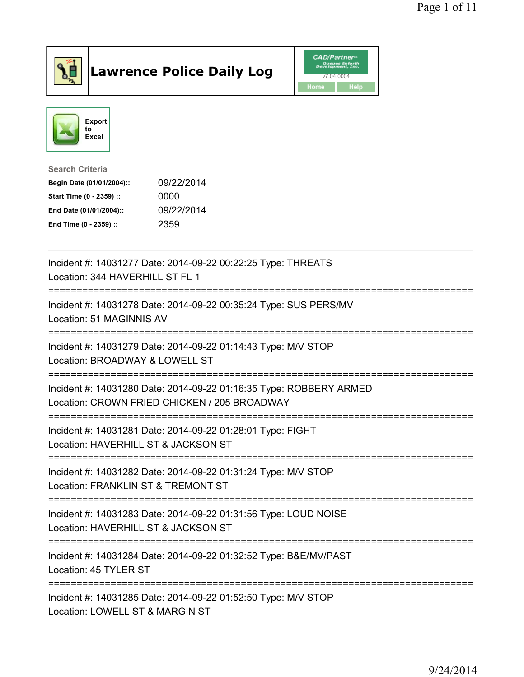

## Lawrence Police Daily Log **Daniel CAD/Partner**





Search Criteria

| Begin Date (01/01/2004):: | 09/22/2014 |
|---------------------------|------------|
| Start Time (0 - 2359) ::  | 0000       |
| End Date (01/01/2004)::   | 09/22/2014 |
| End Time (0 - 2359) ::    | 2359       |

| Incident #: 14031277 Date: 2014-09-22 00:22:25 Type: THREATS<br>Location: 344 HAVERHILL ST FL 1                                                           |
|-----------------------------------------------------------------------------------------------------------------------------------------------------------|
| Incident #: 14031278 Date: 2014-09-22 00:35:24 Type: SUS PERS/MV<br>Location: 51 MAGINNIS AV                                                              |
| Incident #: 14031279 Date: 2014-09-22 01:14:43 Type: M/V STOP<br>Location: BROADWAY & LOWELL ST                                                           |
| Incident #: 14031280 Date: 2014-09-22 01:16:35 Type: ROBBERY ARMED<br>Location: CROWN FRIED CHICKEN / 205 BROADWAY<br>;================================== |
| Incident #: 14031281 Date: 2014-09-22 01:28:01 Type: FIGHT<br>Location: HAVERHILL ST & JACKSON ST                                                         |
| Incident #: 14031282 Date: 2014-09-22 01:31:24 Type: M/V STOP<br>Location: FRANKLIN ST & TREMONT ST                                                       |
| Incident #: 14031283 Date: 2014-09-22 01:31:56 Type: LOUD NOISE<br>Location: HAVERHILL ST & JACKSON ST<br>==============================                  |
| Incident #: 14031284 Date: 2014-09-22 01:32:52 Type: B&E/MV/PAST<br>Location: 45 TYLER ST                                                                 |
| Incident #: 14031285 Date: 2014-09-22 01:52:50 Type: M/V STOP<br>Location: LOWELL ST & MARGIN ST                                                          |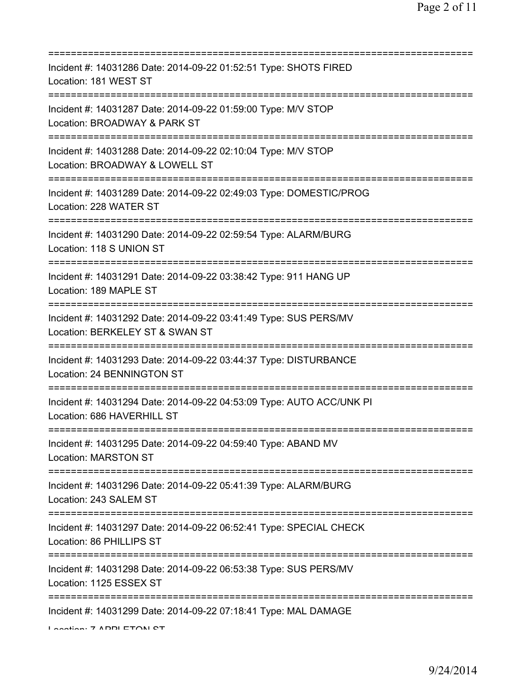| Incident #: 14031286 Date: 2014-09-22 01:52:51 Type: SHOTS FIRED<br>Location: 181 WEST ST<br>====================================== |
|-------------------------------------------------------------------------------------------------------------------------------------|
| Incident #: 14031287 Date: 2014-09-22 01:59:00 Type: M/V STOP<br>Location: BROADWAY & PARK ST                                       |
| Incident #: 14031288 Date: 2014-09-22 02:10:04 Type: M/V STOP<br>Location: BROADWAY & LOWELL ST<br>==========================       |
| Incident #: 14031289 Date: 2014-09-22 02:49:03 Type: DOMESTIC/PROG<br>Location: 228 WATER ST                                        |
| Incident #: 14031290 Date: 2014-09-22 02:59:54 Type: ALARM/BURG<br>Location: 118 S UNION ST                                         |
| Incident #: 14031291 Date: 2014-09-22 03:38:42 Type: 911 HANG UP<br>Location: 189 MAPLE ST<br>;==============================       |
| Incident #: 14031292 Date: 2014-09-22 03:41:49 Type: SUS PERS/MV<br>Location: BERKELEY ST & SWAN ST                                 |
| Incident #: 14031293 Date: 2014-09-22 03:44:37 Type: DISTURBANCE<br>Location: 24 BENNINGTON ST<br>============                      |
| Incident #: 14031294 Date: 2014-09-22 04:53:09 Type: AUTO ACC/UNK PI<br>Location: 686 HAVERHILL ST                                  |
| Incident #: 14031295 Date: 2014-09-22 04:59:40 Type: ABAND MV<br><b>Location: MARSTON ST</b>                                        |
| Incident #: 14031296 Date: 2014-09-22 05:41:39 Type: ALARM/BURG<br>Location: 243 SALEM ST                                           |
| Incident #: 14031297 Date: 2014-09-22 06:52:41 Type: SPECIAL CHECK<br>Location: 86 PHILLIPS ST                                      |
| Incident #: 14031298 Date: 2014-09-22 06:53:38 Type: SUS PERS/MV<br>Location: 1125 ESSEX ST                                         |
| Incident #: 14031299 Date: 2014-09-22 07:18:41 Type: MAL DAMAGE                                                                     |

Location: 7 ADDI ETOM OT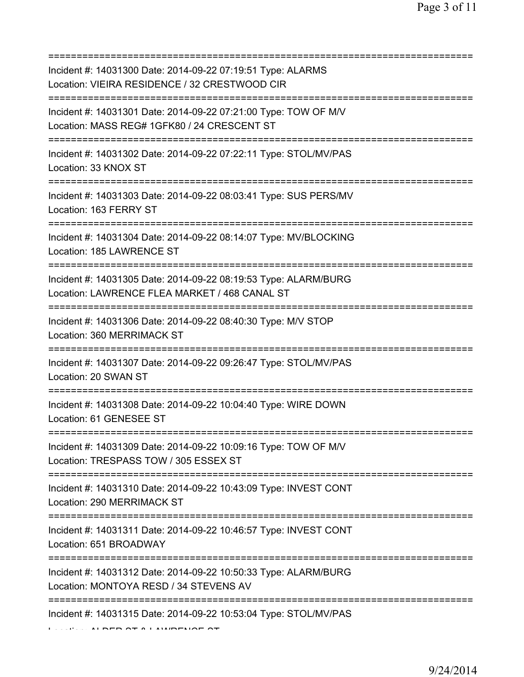| Incident #: 14031300 Date: 2014-09-22 07:19:51 Type: ALARMS<br>Location: VIEIRA RESIDENCE / 32 CRESTWOOD CIR                             |
|------------------------------------------------------------------------------------------------------------------------------------------|
| Incident #: 14031301 Date: 2014-09-22 07:21:00 Type: TOW OF M/V<br>Location: MASS REG# 1GFK80 / 24 CRESCENT ST                           |
| Incident #: 14031302 Date: 2014-09-22 07:22:11 Type: STOL/MV/PAS<br>Location: 33 KNOX ST                                                 |
| ============================<br>Incident #: 14031303 Date: 2014-09-22 08:03:41 Type: SUS PERS/MV<br>Location: 163 FERRY ST               |
| =================================<br>Incident #: 14031304 Date: 2014-09-22 08:14:07 Type: MV/BLOCKING<br>Location: 185 LAWRENCE ST       |
| Incident #: 14031305 Date: 2014-09-22 08:19:53 Type: ALARM/BURG<br>Location: LAWRENCE FLEA MARKET / 468 CANAL ST                         |
| Incident #: 14031306 Date: 2014-09-22 08:40:30 Type: M/V STOP<br>Location: 360 MERRIMACK ST                                              |
| Incident #: 14031307 Date: 2014-09-22 09:26:47 Type: STOL/MV/PAS<br>Location: 20 SWAN ST                                                 |
| Incident #: 14031308 Date: 2014-09-22 10:04:40 Type: WIRE DOWN<br>Location: 61 GENESEE ST                                                |
| Incident #: 14031309 Date: 2014-09-22 10:09:16 Type: TOW OF M/V<br>Location: TRESPASS TOW / 305 ESSEX ST                                 |
| ======================================<br>Incident #: 14031310 Date: 2014-09-22 10:43:09 Type: INVEST CONT<br>Location: 290 MERRIMACK ST |
| Incident #: 14031311 Date: 2014-09-22 10:46:57 Type: INVEST CONT<br>Location: 651 BROADWAY                                               |
| =========<br>Incident #: 14031312 Date: 2014-09-22 10:50:33 Type: ALARM/BURG<br>Location: MONTOYA RESD / 34 STEVENS AV                   |
| Incident #: 14031315 Date: 2014-09-22 10:53:04 Type: STOL/MV/PAS                                                                         |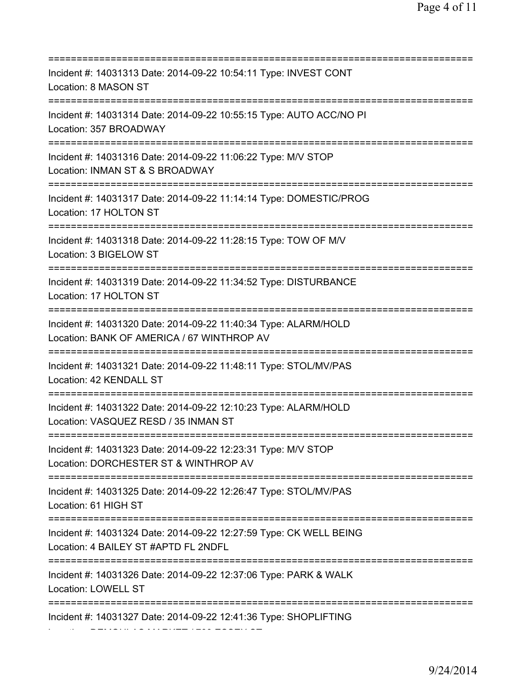=========================================================================== Incident #: 14031313 Date: 2014-09-22 10:54:11 Type: INVEST CONT Location: 8 MASON ST =========================================================================== Incident #: 14031314 Date: 2014-09-22 10:55:15 Type: AUTO ACC/NO PI Location: 357 BROADWAY =========================================================================== Incident #: 14031316 Date: 2014-09-22 11:06:22 Type: M/V STOP Location: INMAN ST & S BROADWAY =========================================================================== Incident #: 14031317 Date: 2014-09-22 11:14:14 Type: DOMESTIC/PROG Location: 17 HOLTON ST =========================================================================== Incident #: 14031318 Date: 2014-09-22 11:28:15 Type: TOW OF M/V Location: 3 BIGELOW ST =========================================================================== Incident #: 14031319 Date: 2014-09-22 11:34:52 Type: DISTURBANCE Location: 17 HOLTON ST =========================================================================== Incident #: 14031320 Date: 2014-09-22 11:40:34 Type: ALARM/HOLD Location: BANK OF AMERICA / 67 WINTHROP AV =========================================================================== Incident #: 14031321 Date: 2014-09-22 11:48:11 Type: STOL/MV/PAS Location: 42 KENDALL ST =========================================================================== Incident #: 14031322 Date: 2014-09-22 12:10:23 Type: ALARM/HOLD Location: VASQUEZ RESD / 35 INMAN ST =========================================================================== Incident #: 14031323 Date: 2014-09-22 12:23:31 Type: M/V STOP Location: DORCHESTER ST & WINTHROP AV =========================================================================== Incident #: 14031325 Date: 2014-09-22 12:26:47 Type: STOL/MV/PAS Location: 61 HIGH ST =========================================================================== Incident #: 14031324 Date: 2014-09-22 12:27:59 Type: CK WELL BEING Location: 4 BAILEY ST #APTD FL 2NDFL =========================================================================== Incident #: 14031326 Date: 2014-09-22 12:37:06 Type: PARK & WALK Location: LOWELL ST =========================================================================== Incident #: 14031327 Date: 2014-09-22 12:41:36 Type: SHOPLIFTING

Location: DEMOULAS MARKET / 700 ESSEX ST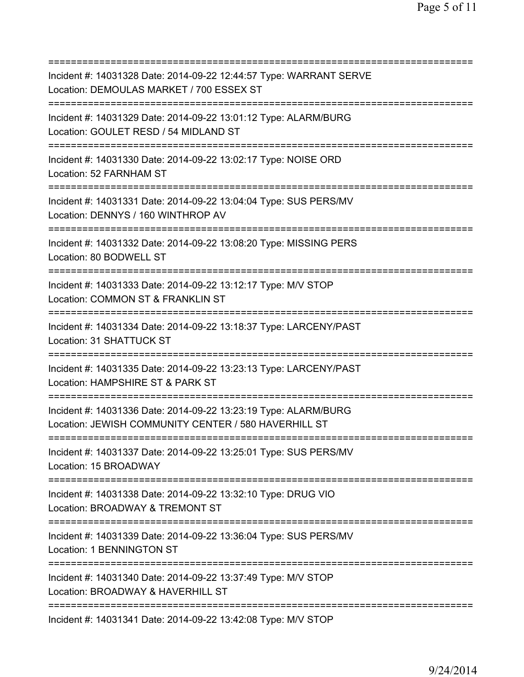=========================================================================== Incident #: 14031328 Date: 2014-09-22 12:44:57 Type: WARRANT SERVE Location: DEMOULAS MARKET / 700 ESSEX ST =========================================================================== Incident #: 14031329 Date: 2014-09-22 13:01:12 Type: ALARM/BURG Location: GOULET RESD / 54 MIDLAND ST =========================================================================== Incident #: 14031330 Date: 2014-09-22 13:02:17 Type: NOISE ORD Location: 52 FARNHAM ST =========================================================================== Incident #: 14031331 Date: 2014-09-22 13:04:04 Type: SUS PERS/MV Location: DENNYS / 160 WINTHROP AV =========================================================================== Incident #: 14031332 Date: 2014-09-22 13:08:20 Type: MISSING PERS Location: 80 BODWELL ST =========================================================================== Incident #: 14031333 Date: 2014-09-22 13:12:17 Type: M/V STOP Location: COMMON ST & FRANKLIN ST =========================================================================== Incident #: 14031334 Date: 2014-09-22 13:18:37 Type: LARCENY/PAST Location: 31 SHATTUCK ST =========================================================================== Incident #: 14031335 Date: 2014-09-22 13:23:13 Type: LARCENY/PAST Location: HAMPSHIRE ST & PARK ST =========================================================================== Incident #: 14031336 Date: 2014-09-22 13:23:19 Type: ALARM/BURG Location: JEWISH COMMUNITY CENTER / 580 HAVERHILL ST =========================================================================== Incident #: 14031337 Date: 2014-09-22 13:25:01 Type: SUS PERS/MV Location: 15 BROADWAY =========================================================================== Incident #: 14031338 Date: 2014-09-22 13:32:10 Type: DRUG VIO Location: BROADWAY & TREMONT ST =========================================================================== Incident #: 14031339 Date: 2014-09-22 13:36:04 Type: SUS PERS/MV Location: 1 BENNINGTON ST =========================================================================== Incident #: 14031340 Date: 2014-09-22 13:37:49 Type: M/V STOP Location: BROADWAY & HAVERHILL ST =========================================================================== Incident #: 14031341 Date: 2014-09-22 13:42:08 Type: M/V STOP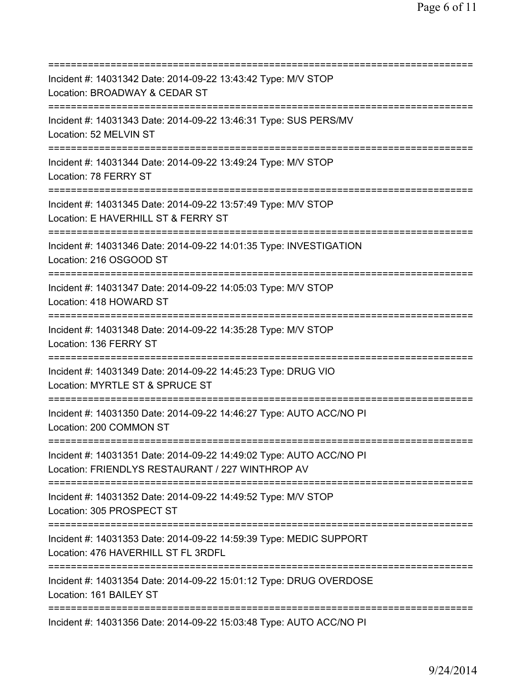| Incident #: 14031342 Date: 2014-09-22 13:43:42 Type: M/V STOP<br>Location: BROADWAY & CEDAR ST<br>=======================         |
|-----------------------------------------------------------------------------------------------------------------------------------|
| Incident #: 14031343 Date: 2014-09-22 13:46:31 Type: SUS PERS/MV<br>Location: 52 MELVIN ST                                        |
| Incident #: 14031344 Date: 2014-09-22 13:49:24 Type: M/V STOP<br>Location: 78 FERRY ST                                            |
| Incident #: 14031345 Date: 2014-09-22 13:57:49 Type: M/V STOP<br>Location: E HAVERHILL ST & FERRY ST                              |
| Incident #: 14031346 Date: 2014-09-22 14:01:35 Type: INVESTIGATION<br>Location: 216 OSGOOD ST<br>================================ |
| Incident #: 14031347 Date: 2014-09-22 14:05:03 Type: M/V STOP<br>Location: 418 HOWARD ST                                          |
| Incident #: 14031348 Date: 2014-09-22 14:35:28 Type: M/V STOP<br>Location: 136 FERRY ST                                           |
| Incident #: 14031349 Date: 2014-09-22 14:45:23 Type: DRUG VIO<br>Location: MYRTLE ST & SPRUCE ST                                  |
| Incident #: 14031350 Date: 2014-09-22 14:46:27 Type: AUTO ACC/NO PI<br>Location: 200 COMMON ST                                    |
| Incident #: 14031351 Date: 2014-09-22 14:49:02 Type: AUTO ACC/NO PI<br>Location: FRIENDLYS RESTAURANT / 227 WINTHROP AV           |
| Incident #: 14031352 Date: 2014-09-22 14:49:52 Type: M/V STOP<br>Location: 305 PROSPECT ST                                        |
| Incident #: 14031353 Date: 2014-09-22 14:59:39 Type: MEDIC SUPPORT<br>Location: 476 HAVERHILL ST FL 3RDFL                         |
| Incident #: 14031354 Date: 2014-09-22 15:01:12 Type: DRUG OVERDOSE<br>Location: 161 BAILEY ST                                     |
| Incident #: 14031356 Date: 2014-09-22 15:03:48 Type: AUTO ACC/NO PI                                                               |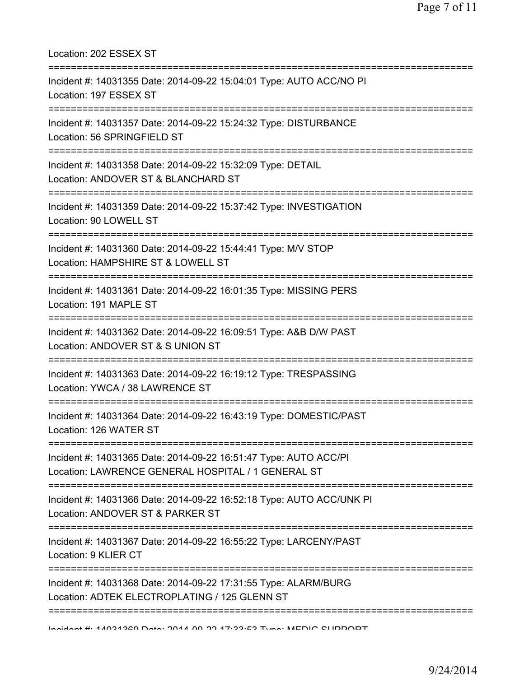| Location: 202 ESSEX ST                                                                                                                    |
|-------------------------------------------------------------------------------------------------------------------------------------------|
| Incident #: 14031355 Date: 2014-09-22 15:04:01 Type: AUTO ACC/NO PI<br>Location: 197 ESSEX ST<br>=========================                |
| Incident #: 14031357 Date: 2014-09-22 15:24:32 Type: DISTURBANCE<br>Location: 56 SPRINGFIELD ST                                           |
| Incident #: 14031358 Date: 2014-09-22 15:32:09 Type: DETAIL<br>Location: ANDOVER ST & BLANCHARD ST<br>=================================== |
| Incident #: 14031359 Date: 2014-09-22 15:37:42 Type: INVESTIGATION<br>Location: 90 LOWELL ST                                              |
| Incident #: 14031360 Date: 2014-09-22 15:44:41 Type: M/V STOP<br>Location: HAMPSHIRE ST & LOWELL ST                                       |
| Incident #: 14031361 Date: 2014-09-22 16:01:35 Type: MISSING PERS<br>Location: 191 MAPLE ST                                               |
| Incident #: 14031362 Date: 2014-09-22 16:09:51 Type: A&B D/W PAST<br>Location: ANDOVER ST & S UNION ST                                    |
| Incident #: 14031363 Date: 2014-09-22 16:19:12 Type: TRESPASSING<br>Location: YWCA / 38 LAWRENCE ST                                       |
| Incident #: 14031364 Date: 2014-09-22 16:43:19 Type: DOMESTIC/PAST<br>Location: 126 WATER ST                                              |
| Incident #: 14031365 Date: 2014-09-22 16:51:47 Type: AUTO ACC/PI<br>Location: LAWRENCE GENERAL HOSPITAL / 1 GENERAL ST                    |
| Incident #: 14031366 Date: 2014-09-22 16:52:18 Type: AUTO ACC/UNK PI<br>Location: ANDOVER ST & PARKER ST                                  |
| Incident #: 14031367 Date: 2014-09-22 16:55:22 Type: LARCENY/PAST<br>Location: 9 KLIER CT                                                 |
| Incident #: 14031368 Date: 2014-09-22 17:31:55 Type: ALARM/BURG<br>Location: ADTEK ELECTROPLATING / 125 GLENN ST                          |
| Indident # 4 1094920 Data . 9041 00 99 47.99.E9 Tune . MEDIO OLIDDODT                                                                     |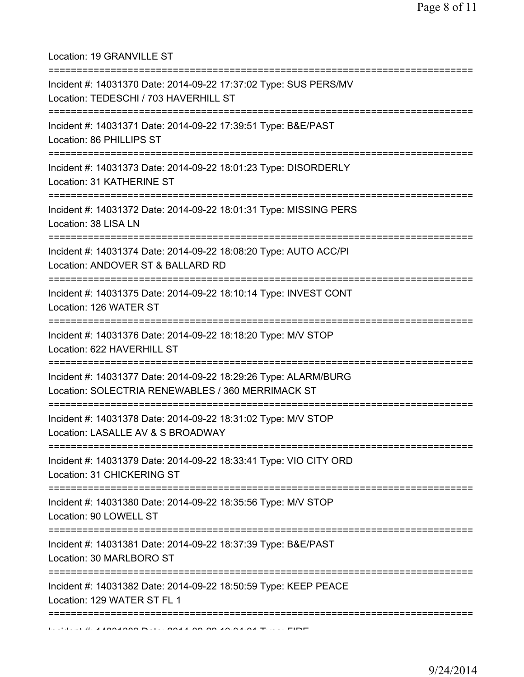Location: 19 GRANVILLE ST

| Incident #: 14031370 Date: 2014-09-22 17:37:02 Type: SUS PERS/MV<br>Location: TEDESCHI / 703 HAVERHILL ST            |
|----------------------------------------------------------------------------------------------------------------------|
| Incident #: 14031371 Date: 2014-09-22 17:39:51 Type: B&E/PAST<br>Location: 86 PHILLIPS ST                            |
| Incident #: 14031373 Date: 2014-09-22 18:01:23 Type: DISORDERLY<br>Location: 31 KATHERINE ST                         |
| Incident #: 14031372 Date: 2014-09-22 18:01:31 Type: MISSING PERS<br>Location: 38 LISA LN                            |
| Incident #: 14031374 Date: 2014-09-22 18:08:20 Type: AUTO ACC/PI<br>Location: ANDOVER ST & BALLARD RD                |
| Incident #: 14031375 Date: 2014-09-22 18:10:14 Type: INVEST CONT<br>Location: 126 WATER ST                           |
| Incident #: 14031376 Date: 2014-09-22 18:18:20 Type: M/V STOP<br>Location: 622 HAVERHILL ST                          |
| Incident #: 14031377 Date: 2014-09-22 18:29:26 Type: ALARM/BURG<br>Location: SOLECTRIA RENEWABLES / 360 MERRIMACK ST |
| Incident #: 14031378 Date: 2014-09-22 18:31:02 Type: M/V STOP<br>Location: LASALLE AV & S BROADWAY                   |
| Incident #: 14031379 Date: 2014-09-22 18:33:41 Type: VIO CITY ORD<br>Location: 31 CHICKERING ST                      |
| Incident #: 14031380 Date: 2014-09-22 18:35:56 Type: M/V STOP<br>Location: 90 LOWELL ST                              |
| Incident #: 14031381 Date: 2014-09-22 18:37:39 Type: B&E/PAST<br>Location: 30 MARLBORO ST                            |
| Incident #: 14031382 Date: 2014-09-22 18:50:59 Type: KEEP PEACE<br>Location: 129 WATER ST FL 1                       |
|                                                                                                                      |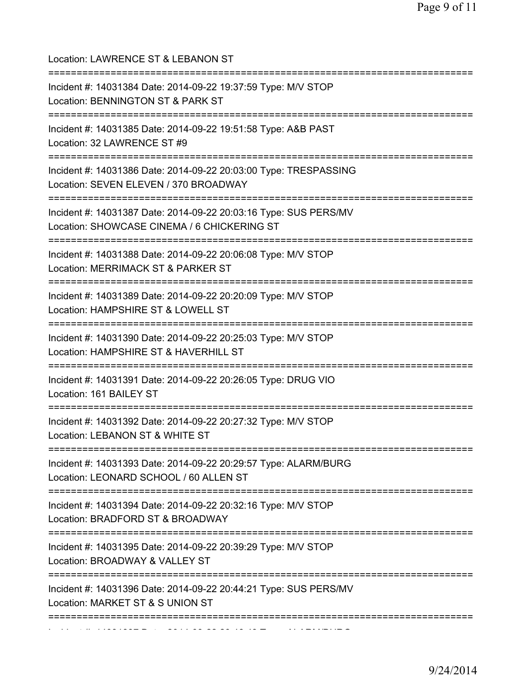| Location: LAWRENCE ST & LEBANON ST<br>=========================                                                                    |
|------------------------------------------------------------------------------------------------------------------------------------|
| Incident #: 14031384 Date: 2014-09-22 19:37:59 Type: M/V STOP<br>Location: BENNINGTON ST & PARK ST                                 |
| Incident #: 14031385 Date: 2014-09-22 19:51:58 Type: A&B PAST<br>Location: 32 LAWRENCE ST #9                                       |
| Incident #: 14031386 Date: 2014-09-22 20:03:00 Type: TRESPASSING<br>Location: SEVEN ELEVEN / 370 BROADWAY                          |
| Incident #: 14031387 Date: 2014-09-22 20:03:16 Type: SUS PERS/MV<br>Location: SHOWCASE CINEMA / 6 CHICKERING ST                    |
| Incident #: 14031388 Date: 2014-09-22 20:06:08 Type: M/V STOP<br>Location: MERRIMACK ST & PARKER ST<br>=========================== |
| Incident #: 14031389 Date: 2014-09-22 20:20:09 Type: M/V STOP<br>Location: HAMPSHIRE ST & LOWELL ST<br>=======================     |
| Incident #: 14031390 Date: 2014-09-22 20:25:03 Type: M/V STOP<br>Location: HAMPSHIRE ST & HAVERHILL ST                             |
| Incident #: 14031391 Date: 2014-09-22 20:26:05 Type: DRUG VIO<br>Location: 161 BAILEY ST                                           |
| Incident #: 14031392 Date: 2014-09-22 20:27:32 Type: M/V STOP<br>Location: LEBANON ST & WHITE ST                                   |
| Incident #: 14031393 Date: 2014-09-22 20:29:57 Type: ALARM/BURG<br>Location: LEONARD SCHOOL / 60 ALLEN ST                          |
| Incident #: 14031394 Date: 2014-09-22 20:32:16 Type: M/V STOP<br>Location: BRADFORD ST & BROADWAY                                  |
| Incident #: 14031395 Date: 2014-09-22 20:39:29 Type: M/V STOP<br>Location: BROADWAY & VALLEY ST                                    |
| Incident #: 14031396 Date: 2014-09-22 20:44:21 Type: SUS PERS/MV<br>Location: MARKET ST & S UNION ST                               |
|                                                                                                                                    |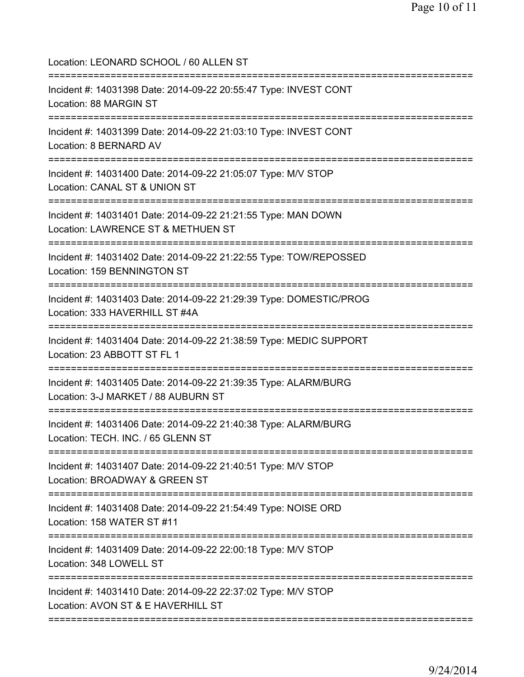Location: LEONARD SCHOOL / 60 ALLEN ST

| Incident #: 14031398 Date: 2014-09-22 20:55:47 Type: INVEST CONT<br>Location: 88 MARGIN ST                                            |
|---------------------------------------------------------------------------------------------------------------------------------------|
| Incident #: 14031399 Date: 2014-09-22 21:03:10 Type: INVEST CONT<br>Location: 8 BERNARD AV                                            |
| Incident #: 14031400 Date: 2014-09-22 21:05:07 Type: M/V STOP<br>Location: CANAL ST & UNION ST<br>=========================           |
| Incident #: 14031401 Date: 2014-09-22 21:21:55 Type: MAN DOWN<br>Location: LAWRENCE ST & METHUEN ST<br>============================== |
| Incident #: 14031402 Date: 2014-09-22 21:22:55 Type: TOW/REPOSSED<br>Location: 159 BENNINGTON ST                                      |
| Incident #: 14031403 Date: 2014-09-22 21:29:39 Type: DOMESTIC/PROG<br>Location: 333 HAVERHILL ST #4A                                  |
| Incident #: 14031404 Date: 2014-09-22 21:38:59 Type: MEDIC SUPPORT<br>Location: 23 ABBOTT ST FL 1                                     |
| Incident #: 14031405 Date: 2014-09-22 21:39:35 Type: ALARM/BURG<br>Location: 3-J MARKET / 88 AUBURN ST                                |
| Incident #: 14031406 Date: 2014-09-22 21:40:38 Type: ALARM/BURG<br>Location: TECH. INC. / 65 GLENN ST                                 |
| Incident #: 14031407 Date: 2014-09-22 21:40:51 Type: M/V STOP<br>Location: BROADWAY & GREEN ST                                        |
| Incident #: 14031408 Date: 2014-09-22 21:54:49 Type: NOISE ORD<br>Location: 158 WATER ST #11                                          |
| Incident #: 14031409 Date: 2014-09-22 22:00:18 Type: M/V STOP<br>Location: 348 LOWELL ST                                              |
| Incident #: 14031410 Date: 2014-09-22 22:37:02 Type: M/V STOP<br>Location: AVON ST & E HAVERHILL ST                                   |
|                                                                                                                                       |